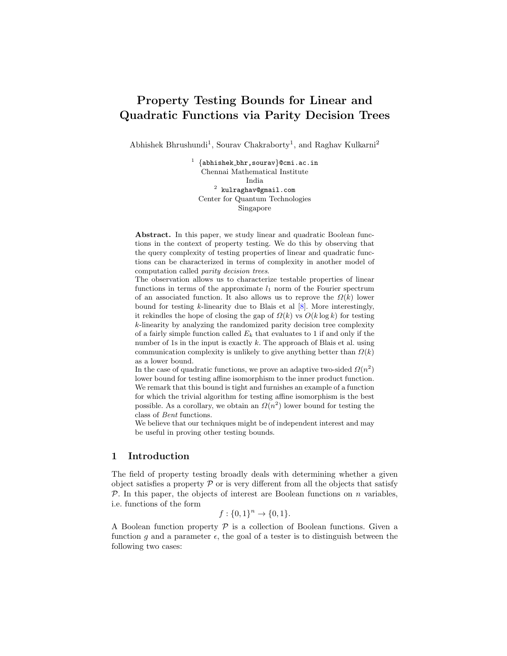# Property Testing Bounds for Linear and Quadratic Functions via Parity Decision Trees

Abhishek Bhrushundi<sup>1</sup>, Sourav Chakraborty<sup>1</sup>, and Raghav Kulkarni<sup>2</sup>

 $^1$   $\{abhist\_bhr$ ,sourav $\}$ @cmi.ac.in Chennai Mathematical Institute India  $^2$  kulraghav@gmail.com Center for Quantum Technologies Singapore

Abstract. In this paper, we study linear and quadratic Boolean functions in the context of property testing. We do this by observing that the query complexity of testing properties of linear and quadratic functions can be characterized in terms of complexity in another model of computation called parity decision trees.

The observation allows us to characterize testable properties of linear functions in terms of the approximate  $l_1$  norm of the Fourier spectrum of an associated function. It also allows us to reprove the  $\Omega(k)$  lower bound for testing  $k$ -linearity due to Blais et al  $[8]$ . More interestingly, it rekindles the hope of closing the gap of  $\Omega(k)$  vs  $O(k \log k)$  for testing k-linearity by analyzing the randomized parity decision tree complexity of a fairly simple function called  $E_k$  that evaluates to 1 if and only if the number of 1s in the input is exactly  $k$ . The approach of Blais et al. using communication complexity is unlikely to give anything better than  $\Omega(k)$ as a lower bound.

In the case of quadratic functions, we prove an adaptive two-sided  $\Omega(n^2)$ lower bound for testing affine isomorphism to the inner product function. We remark that this bound is tight and furnishes an example of a function for which the trivial algorithm for testing affine isomorphism is the best possible. As a corollary, we obtain an  $\Omega(n^2)$  lower bound for testing the class of Bent functions.

We believe that our techniques might be of independent interest and may be useful in proving other testing bounds.

## 1 Introduction

The field of property testing broadly deals with determining whether a given object satisfies a property  $\mathcal P$  or is very different from all the objects that satisfy  $\mathcal{P}$ . In this paper, the objects of interest are Boolean functions on *n* variables, i.e. functions of the form

$$
f: \{0,1\}^n \to \{0,1\}.
$$

A Boolean function property  $P$  is a collection of Boolean functions. Given a function g and a parameter  $\epsilon$ , the goal of a tester is to distinguish between the following two cases: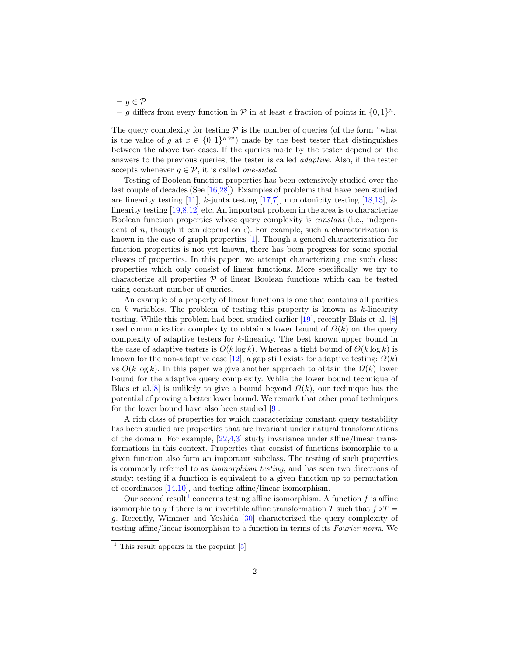$- g \in \mathcal{P}$ - g differs from every function in  $P$  in at least  $\epsilon$  fraction of points in  $\{0,1\}^n$ .

The query complexity for testing  $P$  is the number of queries (of the form "what is the value of g at  $x \in \{0,1\}^n$ ?") made by the best tester that distinguishes between the above two cases. If the queries made by the tester depend on the answers to the previous queries, the tester is called adaptive. Also, if the tester accepts whenever  $g \in \mathcal{P}$ , it is called *one-sided*.

Testing of Boolean function properties has been extensively studied over the last couple of decades (See [\[16](#page-13-0)[,28\]](#page-13-1)). Examples of problems that have been studied are linearity testing  $[11]$ , k-junta testing  $[17,7]$  $[17,7]$ , monotonicity testing  $[18,13]$  $[18,13]$ , klinearity testing [\[19,](#page-13-6)[8](#page-12-0)[,12\]](#page-13-7) etc. An important problem in the area is to characterize Boolean function properties whose query complexity is constant (i.e., independent of n, though it can depend on  $\epsilon$ ). For example, such a characterization is known in the case of graph properties [\[1\]](#page-12-2). Though a general characterization for function properties is not yet known, there has been progress for some special classes of properties. In this paper, we attempt characterizing one such class: properties which only consist of linear functions. More specifically, we try to characterize all properties  $P$  of linear Boolean functions which can be tested using constant number of queries.

An example of a property of linear functions is one that contains all parities on  $k$  variables. The problem of testing this property is known as  $k$ -linearity testing. While this problem had been studied earlier [\[19\]](#page-13-6), recently Blais et al. [\[8\]](#page-12-0) used communication complexity to obtain a lower bound of  $\Omega(k)$  on the query complexity of adaptive testers for k-linearity. The best known upper bound in the case of adaptive testers is  $O(k \log k)$ . Whereas a tight bound of  $\Theta(k \log k)$  is known for the non-adaptive case [\[12\]](#page-13-7), a gap still exists for adaptive testing:  $\Omega(k)$ vs  $O(k \log k)$ . In this paper we give another approach to obtain the  $\Omega(k)$  lower bound for the adaptive query complexity. While the lower bound technique of Blais et al. [\[8\]](#page-12-0) is unlikely to give a bound beyond  $\Omega(k)$ , our technique has the potential of proving a better lower bound. We remark that other proof techniques for the lower bound have also been studied [\[9\]](#page-12-3).

A rich class of properties for which characterizing constant query testability has been studied are properties that are invariant under natural transformations of the domain. For example, [\[22](#page-13-8)[,4,](#page-12-4)[3\]](#page-12-5) study invariance under affine/linear transformations in this context. Properties that consist of functions isomorphic to a given function also form an important subclass. The testing of such properties is commonly referred to as isomorphism testing, and has seen two directions of study: testing if a function is equivalent to a given function up to permutation of coordinates [\[14,](#page-13-9)[10\]](#page-13-10), and testing affine/linear isomorphism.

Our second result<sup>[1](#page-1-0)</sup> concerns testing affine isomorphism. A function f is affine isomorphic to g if there is an invertible affine transformation T such that  $f \circ T =$ g. Recently, Wimmer and Yoshida [\[30\]](#page-13-11) characterized the query complexity of testing affine/linear isomorphism to a function in terms of its Fourier norm. We

<span id="page-1-0"></span> $<sup>1</sup>$  This result appears in the preprint [\[5\]](#page-12-6)</sup>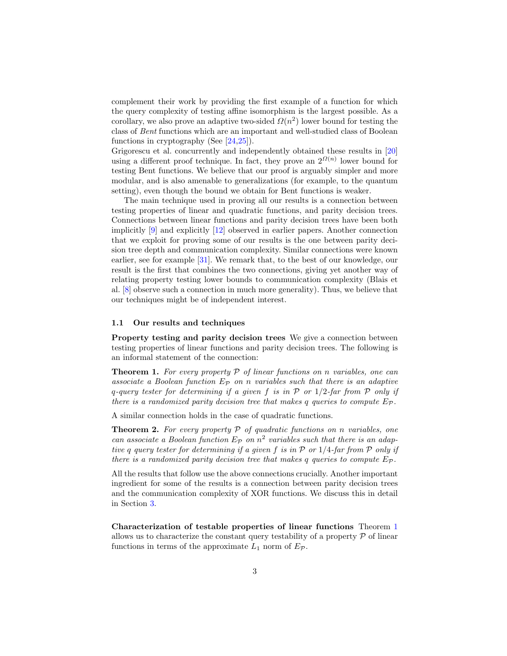complement their work by providing the first example of a function for which the query complexity of testing affine isomorphism is the largest possible. As a corollary, we also prove an adaptive two-sided  $\Omega(n^2)$  lower bound for testing the class of Bent functions which are an important and well-studied class of Boolean functions in cryptography (See [\[24,](#page-13-12)[25\]](#page-13-13)).

Grigorescu et al. concurrently and independently obtained these results in [\[20\]](#page-13-14) using a different proof technique. In fact, they prove an  $2^{\Omega(n)}$  lower bound for testing Bent functions. We believe that our proof is arguably simpler and more modular, and is also amenable to generalizations (for example, to the quantum setting), even though the bound we obtain for Bent functions is weaker.

The main technique used in proving all our results is a connection between testing properties of linear and quadratic functions, and parity decision trees. Connections between linear functions and parity decision trees have been both implicitly [\[9\]](#page-12-3) and explicitly [\[12\]](#page-13-7) observed in earlier papers. Another connection that we exploit for proving some of our results is the one between parity decision tree depth and communication complexity. Similar connections were known earlier, see for example [\[31\]](#page-13-15). We remark that, to the best of our knowledge, our result is the first that combines the two connections, giving yet another way of relating property testing lower bounds to communication complexity (Blais et al. [\[8\]](#page-12-0) observe such a connection in much more generality). Thus, we believe that our techniques might be of independent interest.

#### 1.1 Our results and techniques

<span id="page-2-0"></span>Property testing and parity decision trees We give a connection between testing properties of linear functions and parity decision trees. The following is an informal statement of the connection:

**Theorem 1.** For every property  $P$  of linear functions on n variables, one can associate a Boolean function  $E_{\mathcal{P}}$  on n variables such that there is an adaptive q-query tester for determining if a given f is in  $P$  or  $1/2$ -far from  $P$  only if there is a randomized parity decision tree that makes q queries to compute  $E_{\mathcal{P}}$ .

<span id="page-2-1"></span>A similar connection holds in the case of quadratic functions.

**Theorem 2.** For every property  $P$  of quadratic functions on n variables, one can associate a Boolean function  $E_{\mathcal{P}}$  on  $n^2$  variables such that there is an adaptive q query tester for determining if a given f is in  $P$  or  $1/4$ -far from  $P$  only if there is a randomized parity decision tree that makes q queries to compute  $E_{\mathcal{P}}$ .

All the results that follow use the above connections crucially. Another important ingredient for some of the results is a connection between parity decision trees and the communication complexity of XOR functions. We discuss this in detail in Section [3.](#page-5-0)

<span id="page-2-2"></span>Characterization of testable properties of linear functions Theorem [1](#page-2-0) allows us to characterize the constant query testability of a property  $P$  of linear functions in terms of the approximate  $L_1$  norm of  $E_{\mathcal{P}}$ .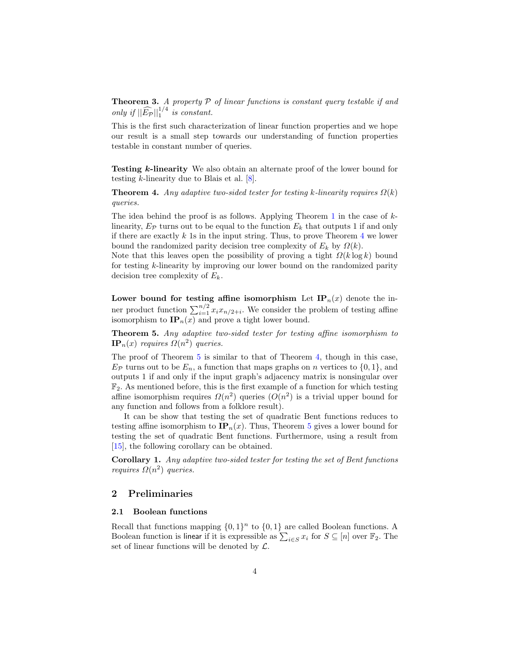**Theorem 3.** A property  $P$  of linear functions is constant query testable if and only if  $\|\widehat{E_{\mathcal{P}}}\|_1^{1/4}$  is constant.

This is the first such characterization of linear function properties and we hope our result is a small step towards our understanding of function properties testable in constant number of queries.

<span id="page-3-0"></span>Testing k-linearity We also obtain an alternate proof of the lower bound for testing k-linearity due to Blais et al. [\[8\]](#page-12-0).

**Theorem 4.** Any adaptive two-sided tester for testing k-linearity requires  $\Omega(k)$ queries.

The idea behind the proof is as follows. Applying Theorem [1](#page-2-0) in the case of  $k$ linearity,  $E_{\mathcal{P}}$  turns out to be equal to the function  $E_k$  that outputs 1 if and only if there are exactly  $k$  1s in the input string. Thus, to prove Theorem  $4$  we lower bound the randomized parity decision tree complexity of  $E_k$  by  $\Omega(k)$ .

Note that this leaves open the possibility of proving a tight  $\Omega(k \log k)$  bound for testing k-linearity by improving our lower bound on the randomized parity decision tree complexity of  $E_k$ .

<span id="page-3-1"></span>Lower bound for testing affine isomorphism Let  $IP_n(x)$  denote the inner product function  $\sum_{i=1}^{n/2} x_i x_{n/2+i}$ . We consider the problem of testing affine isomorphism to  $\mathbf{IP}_n(x)$  and prove a tight lower bound.

Theorem 5. Any adaptive two-sided tester for testing affine isomorphism to  $\mathbf{IP}_n(x)$  requires  $\Omega(n^2)$  queries.

The proof of Theorem [5](#page-3-1) is similar to that of Theorem [4,](#page-3-0) though in this case,  $E_{\mathcal{P}}$  turns out to be  $E_n$ , a function that maps graphs on n vertices to  $\{0,1\}$ , and outputs 1 if and only if the input graph's adjacency matrix is nonsingular over  $\mathbb{F}_2$ . As mentioned before, this is the first example of a function for which testing affine isomorphism requires  $\Omega(n^2)$  queries  $\left(O(n^2)\right)$  is a trivial upper bound for any function and follows from a folklore result).

It can be show that testing the set of quadratic Bent functions reduces to testing affine isomorphism to  $IP_n(x)$ . Thus, Theorem [5](#page-3-1) gives a lower bound for testing the set of quadratic Bent functions. Furthermore, using a result from [\[15\]](#page-13-16), the following corollary can be obtained.

<span id="page-3-2"></span>Corollary 1. Any adaptive two-sided tester for testing the set of Bent functions *requires*  $\Omega(n^2)$  *queries.* 

## 2 Preliminaries

### 2.1 Boolean functions

Recall that functions mapping  $\{0,1\}^n$  to  $\{0,1\}$  are called Boolean functions. A Boolean function is linear if it is expressible as  $\sum_{i \in S} x_i$  for  $S \subseteq [n]$  over  $\mathbb{F}_2$ . The set of linear functions will be denoted by  $\mathcal{L}$ .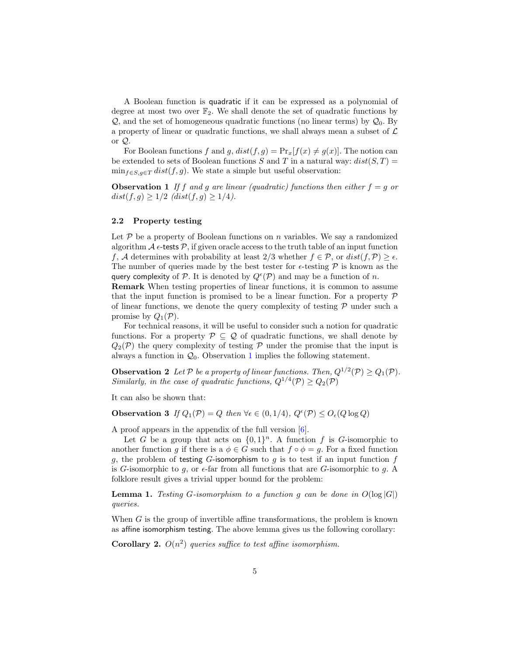A Boolean function is quadratic if it can be expressed as a polynomial of degree at most two over  $\mathbb{F}_2$ . We shall denote the set of quadratic functions by  $\mathcal{Q}$ , and the set of homogeneous quadratic functions (no linear terms) by  $\mathcal{Q}_0$ . By a property of linear or quadratic functions, we shall always mean a subset of  $\mathcal L$ or Q.

<span id="page-4-0"></span>For Boolean functions f and g,  $dist(f, g) = Pr_x[f(x) \neq g(x)]$ . The notion can be extended to sets of Boolean functions S and T in a natural way:  $dist(S, T) =$  $\min_{f \in S, g \in T} dist(f, g)$ . We state a simple but useful observation:

**Observation 1** If f and g are linear (quadratic) functions then either  $f = g$  or  $dist(f, g) \geq 1/2$   $dist(f, g) \geq 1/4$ .

#### 2.2 Property testing

Let  $P$  be a property of Boolean functions on n variables. We say a randomized algorithm  $\mathcal A$   $\epsilon$ -tests  $\mathcal P$ , if given oracle access to the truth table of an input function f, A determines with probability at least  $2/3$  whether  $f \in \mathcal{P}$ , or  $dist(f, \mathcal{P}) \geq \epsilon$ . The number of queries made by the best tester for  $\epsilon$ -testing  $\mathcal P$  is known as the query complexity of P. It is denoted by  $Q^{\epsilon}(\mathcal{P})$  and may be a function of n.

Remark When testing properties of linear functions, it is common to assume that the input function is promised to be a linear function. For a property  $P$ of linear functions, we denote the query complexity of testing  $\mathcal P$  under such a promise by  $Q_1(\mathcal{P})$ .

For technical reasons, it will be useful to consider such a notion for quadratic functions. For a property  $P \subseteq Q$  of quadratic functions, we shall denote by  $Q_2(\mathcal{P})$  the query complexity of testing  $\mathcal P$  under the promise that the input is always a function in  $\mathcal{Q}_0$ . Observation [1](#page-4-0) implies the following statement.

<span id="page-4-1"></span>**Observation 2** Let P be a property of linear functions. Then,  $Q^{1/2}(\mathcal{P}) \geq Q_1(\mathcal{P})$ . Similarly, in the case of quadratic functions,  $Q^{1/4}(\mathcal{P}) \geq Q_2(\mathcal{P})$ 

<span id="page-4-2"></span>It can also be shown that:

**Observation 3** If  $Q_1(\mathcal{P}) = Q$  then  $\forall \epsilon \in (0, 1/4), Q^{\epsilon}(\mathcal{P}) \leq Q_{\epsilon}(Q \log Q)$ 

A proof appears in the appendix of the full version [\[6\]](#page-12-7).

Let G be a group that acts on  $\{0,1\}^n$ . A function f is G-isomorphic to another function g if there is a  $\phi \in G$  such that  $f \circ \phi = g$ . For a fixed function g, the problem of testing G-isomorphism to g is to test if an input function  $f$ is G-isomorphic to g, or  $\epsilon$ -far from all functions that are G-isomorphic to g. A folklore result gives a trivial upper bound for the problem:

**Lemma 1.** Testing G-isomorphism to a function q can be done in  $O(\log |G|)$ queries.

When  $G$  is the group of invertible affine transformations, the problem is known as affine isomorphism testing. The above lemma gives us the following corollary:

<span id="page-4-3"></span>**Corollary 2.**  $O(n^2)$  queries suffice to test affine isomorphism.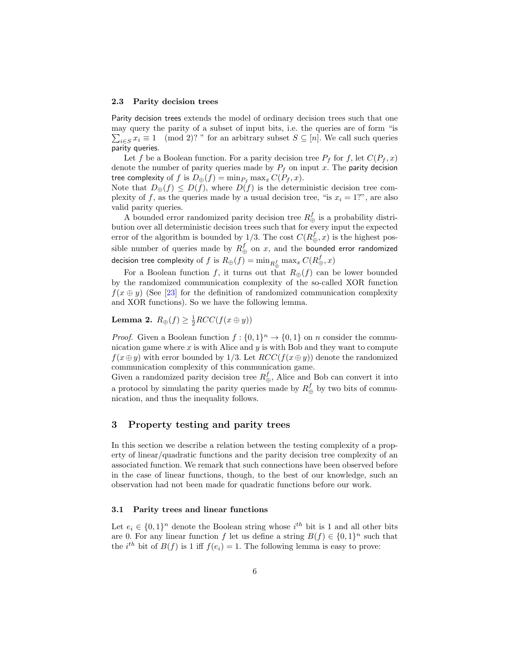#### 2.3 Parity decision trees

Parity decision trees extends the model of ordinary decision trees such that one may query the parity of a subset of input bits, i.e. the queries are of form "is  $\sum_{i \in S} x_i \equiv 1 \pmod{2}$ ? " for an arbitrary subset  $S \subseteq [n]$ . We call such queries parity queries.

Let f be a Boolean function. For a parity decision tree  $P_f$  for f, let  $C(P_f, x)$ denote the number of parity queries made by  $P_f$  on input x. The parity decision tree complexity of f is  $D_{\oplus}(f) = \min_{P_f} \max_x C(P_f, x)$ .

Note that  $D_{\oplus}(f) \leq D(f)$ , where  $D(f)$  is the deterministic decision tree complexity of f, as the queries made by a usual decision tree, "is  $x_i = 1$ ?", are also valid parity queries.

A bounded error randomized parity decision tree  $R_{\oplus}^f$  is a probability distribution over all deterministic decision trees such that for every input the expected error of the algorithm is bounded by 1/3. The cost  $C(R_{\oplus}^f, x)$  is the highest possible number of queries made by  $R_{\oplus}^f$  on  $x,$  and the bounded error randomized decision tree complexity of  $f$  is  $R_{\oplus}(f) = \min_{R_{\oplus}^{f}} \max_{x} C(R_{\oplus}^{f},x)$ 

For a Boolean function f, it turns out that  $R_{\oplus}(f)$  can be lower bounded by the randomized communication complexity of the so-called XOR function  $f(x \oplus y)$  (See [\[23\]](#page-13-17) for the definition of randomized communication complexity and XOR functions). So we have the following lemma.

# <span id="page-5-2"></span>**Lemma 2.**  $R_{\oplus}(f) \geq \frac{1}{2} RCC(f(x \oplus y))$

*Proof.* Given a Boolean function  $f: \{0,1\}^n \to \{0,1\}$  on n consider the communication game where  $x$  is with Alice and  $y$  is with Bob and they want to compute  $f(x \oplus y)$  with error bounded by 1/3. Let  $RCC(f(x \oplus y))$  denote the randomized communication complexity of this communication game.

Given a randomized parity decision tree  $R_{\oplus}^f$ , Alice and Bob can convert it into a protocol by simulating the parity queries made by  $R_{\oplus}^f$  by two bits of communication, and thus the inequality follows.

# <span id="page-5-0"></span>3 Property testing and parity trees

In this section we describe a relation between the testing complexity of a property of linear/quadratic functions and the parity decision tree complexity of an associated function. We remark that such connections have been observed before in the case of linear functions, though, to the best of our knowledge, such an observation had not been made for quadratic functions before our work.

#### 3.1 Parity trees and linear functions

<span id="page-5-1"></span>Let  $e_i \in \{0,1\}^n$  denote the Boolean string whose  $i^{th}$  bit is 1 and all other bits are 0. For any linear function f let us define a string  $B(f) \in \{0,1\}^n$  such that the *i*<sup>th</sup> bit of  $B(f)$  is 1 iff  $f(e_i) = 1$ . The following lemma is easy to prove: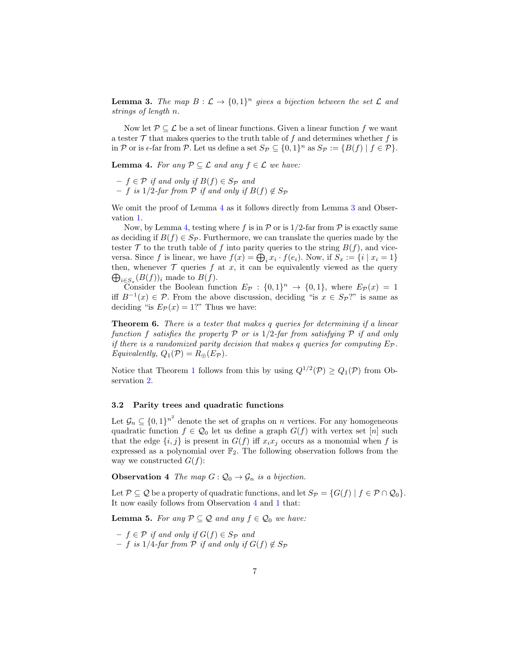**Lemma 3.** The map  $B: \mathcal{L} \to \{0,1\}^n$  gives a bijection between the set  $\mathcal{L}$  and strings of length n.

Now let  $\mathcal{P} \subseteq \mathcal{L}$  be a set of linear functions. Given a linear function f we want a tester  $\mathcal T$  that makes queries to the truth table of f and determines whether f is in P or is  $\epsilon$ -far from P. Let us define a set  $S_{\mathcal{P}} \subseteq \{0,1\}^n$  as  $S_{\mathcal{P}} := \{B(f) \mid f \in \mathcal{P}\}.$ 

<span id="page-6-0"></span>**Lemma 4.** For any  $P \subseteq \mathcal{L}$  and any  $f \in \mathcal{L}$  we have:

- $-f \in \mathcal{P}$  if and only if  $B(f) \in S_{\mathcal{P}}$  and
- $f$  is 1/2-far from  $P$  if and only if  $B(f) \notin S_{\mathcal{P}}$

We omit the proof of Lemma [4](#page-6-0) as it follows directly from Lemma [3](#page-5-1) and Observation [1.](#page-4-0)

Now, by Lemma [4,](#page-6-0) testing where f is in  $P$  or is  $1/2$ -far from  $P$  is exactly same as deciding if  $B(f) \in S_{\mathcal{P}}$ . Furthermore, we can translate the queries made by the tester  $\mathcal T$  to the truth table of f into parity queries to the string  $B(f)$ , and viceversa. Since f is linear, we have  $f(x) = \bigoplus_i x_i \cdot f(e_i)$ . Now, if  $S_x := \{i \mid x_i = 1\}$ then, whenever  $\mathcal T$  queries  $f$  at  $x$ , it can be equivalently viewed as the query  $\bigoplus_{i\in S_x}(B(f))_i$  made to  $B(f)$ .

Consider the Boolean function  $E_{\mathcal{P}}: \{0,1\}^n \to \{0,1\}$ , where  $E_{\mathcal{P}}(x) = 1$ iff  $B^{-1}(x) \in \mathcal{P}$ . From the above discussion, deciding "is  $x \in S_{\mathcal{P}}$ ?" is same as deciding "is  $E_{\mathcal{P}}(x) = 1$ ?" Thus we have:

<span id="page-6-2"></span>Theorem 6. There is a tester that makes q queries for determining if a linear function f satisfies the property P or is  $1/2$ -far from satisfying P if and only if there is a randomized parity decision that makes q queries for computing  $E_{\mathcal{P}}$ . Equivalently,  $Q_1(\mathcal{P}) = R_{\oplus}(E_{\mathcal{P}})$ .

Notice that Theorem [1](#page-2-0) follows from this by using  $Q^{1/2}(\mathcal{P}) \geq Q_1(\mathcal{P})$  from Observation [2.](#page-4-1)

# 3.2 Parity trees and quadratic functions

Let  $\mathcal{G}_n \subseteq \{0,1\}^{n^2}$  denote the set of graphs on n vertices. For any homogeneous quadratic function  $f \in \mathcal{Q}_0$  let us define a graph  $G(f)$  with vertex set [n] such that the edge  $\{i, j\}$  is present in  $G(f)$  iff  $x_i x_j$  occurs as a monomial when f is expressed as a polynomial over  $\mathbb{F}_2$ . The following observation follows from the way we constructed  $G(f)$ :

<span id="page-6-1"></span>**Observation 4** The map  $G: \mathcal{Q}_0 \to \mathcal{G}_n$  is a bijection.

Let  $\mathcal{P} \subseteq \mathcal{Q}$  be a property of quadratic functions, and let  $S_{\mathcal{P}} = \{G(f) \mid f \in \mathcal{P} \cap \mathcal{Q}_0\}.$ It now easily follows from Observation [4](#page-6-1) and [1](#page-4-0) that:

**Lemma 5.** For any  $P \subseteq Q$  and any  $f \in Q_0$  we have:

- <span id="page-6-3"></span> $- f \in \mathcal{P}$  if and only if  $G(f) \in S_{\mathcal{P}}$  and
- $− f$  is 1/4-far from  $P$  if and only if  $G(f) \notin Sp$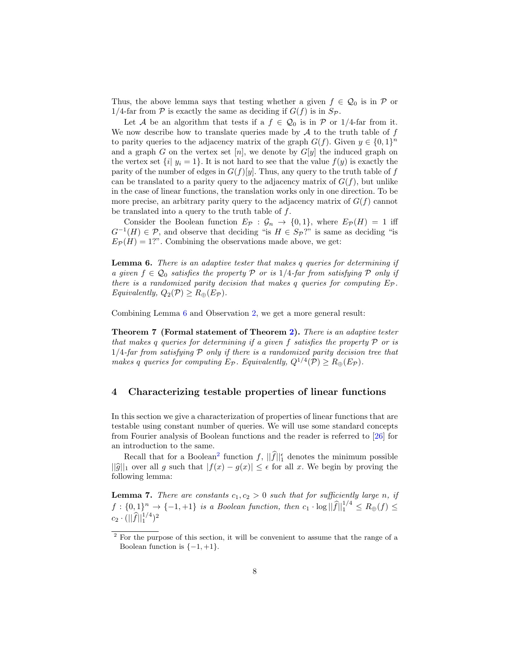Thus, the above lemma says that testing whether a given  $f \in \mathcal{Q}_0$  is in P or 1/4-far from  $P$  is exactly the same as deciding if  $G(f)$  is in  $S_{\mathcal{P}}$ .

Let A be an algorithm that tests if a  $f \in \mathcal{Q}_0$  is in P or 1/4-far from it. We now describe how to translate queries made by  $A$  to the truth table of  $f$ to parity queries to the adjacency matrix of the graph  $G(f)$ . Given  $y \in \{0,1\}^n$ and a graph G on the vertex set [n], we denote by  $G[y]$  the induced graph on the vertex set  $\{i | y_i = 1\}$ . It is not hard to see that the value  $f(y)$  is exactly the parity of the number of edges in  $G(f)[y]$ . Thus, any query to the truth table of f can be translated to a parity query to the adjacency matrix of  $G(f)$ , but unlike in the case of linear functions, the translation works only in one direction. To be more precise, an arbitrary parity query to the adjacency matrix of  $G(f)$  cannot be translated into a query to the truth table of  $f$ .

Consider the Boolean function  $E_{\mathcal{P}} : \mathcal{G}_n \to \{0,1\}$ , where  $E_{\mathcal{P}}(H) = 1$  iff  $G^{-1}(H) \in \mathcal{P}$ , and observe that deciding "is  $H \in S_{\mathcal{P}}$ ?" is same as deciding "is  $E_{\mathcal{P}}(H) = 1$ ?". Combining the observations made above, we get:

<span id="page-7-0"></span>Lemma 6. There is an adaptive tester that makes q queries for determining if a given  $f \in \mathcal{Q}_0$  satisfies the property P or is 1/4-far from satisfying P only if there is a randomized parity decision that makes q queries for computing  $E_{\mathcal{P}}$ . Equivalently,  $Q_2(\mathcal{P}) \geq R_{\oplus}(E_{\mathcal{P}})$ .

Combining Lemma [6](#page-7-0) and Observation [2,](#page-4-1) we get a more general result:

Theorem 7 (Formal statement of Theorem [2\)](#page-2-1). There is an adaptive tester that makes q queries for determining if a given f satisfies the property  $P$  or is  $1/4$ -far from satisfying P only if there is a randomized parity decision tree that makes q queries for computing  $E_{\mathcal{P}}$ . Equivalently,  $Q^{1/4}(\mathcal{P}) \ge R_{\oplus}(E_{\mathcal{P}})$ .

# 4 Characterizing testable properties of linear functions

In this section we give a characterization of properties of linear functions that are testable using constant number of queries. We will use some standard concepts from Fourier analysis of Boolean functions and the reader is referred to [\[26\]](#page-13-18) for an introduction to the same.

Recall that for a Boolean<sup>[2](#page-7-1)</sup> function  $f$ ,  $||\hat{f}||_1^{\epsilon}$  denotes the minimum possible  $||\hat{g}||_1$  over all g such that  $|f(x) - g(x)| \leq \epsilon$  for all x. We begin by proving the following lemma:

**Lemma 7.** There are constants  $c_1, c_2 > 0$  such that for sufficiently large n, if  $f: \{0,1\}^n \to \{-1,+1\}$  is a Boolean function, then  $c_1 \cdot \log ||\widehat{f}||_1^{1/4} \leq R_{\oplus}(f) \leq$  $c_2 \cdot (||\widehat{f}||_1^{1/4})^2$ 

<span id="page-7-1"></span><sup>2</sup> For the purpose of this section, it will be convenient to assume that the range of a Boolean function is  $\{-1, +1\}.$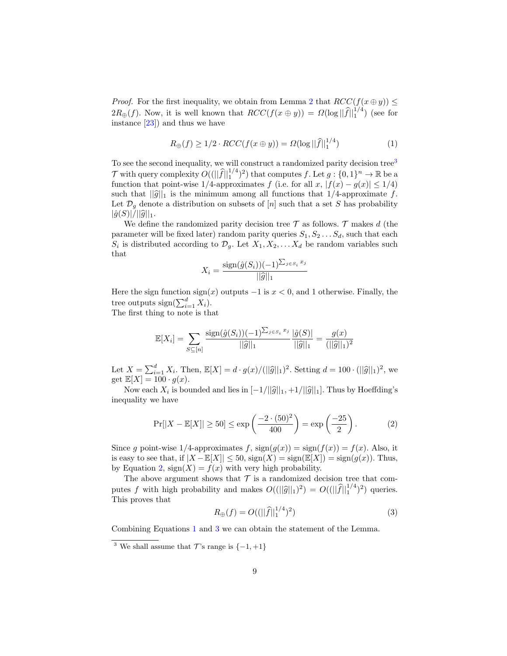*Proof.* For the first inequality, we obtain from Lemma [2](#page-5-2) that  $RCC(f(x \oplus y)) \le$  $2R_{\oplus}(f)$ . Now, it is well known that  $RCC(f(x \oplus y)) = \Omega(\log ||\widehat{f}||_1^{1/4})$  (see for instance  $[23]$  and thus we have

<span id="page-8-2"></span>
$$
R_{\oplus}(f) \ge 1/2 \cdot RCC(f(x \oplus y)) = \Omega(\log ||\widehat{f}||_1^{1/4})
$$
\n(1)

To see the second inequality, we will construct a randomized parity decision tree<sup>[3](#page-8-0)</sup>  $\mathcal{T}$  with query complexity  $O((\|\widehat{f}\|_1^{1/4})^2)$  that computes f. Let  $g: \{0,1\}^n \to \mathbb{R}$  be a function that point-wise 1/4-approximates f (i.e. for all x,  $|f(x) - g(x)| \le 1/4$ ) such that  $||\hat{g}||_1$  is the minimum among all functions that  $1/4$ -approximate f. Let  $\mathcal{D}_g$  denote a distribution on subsets of [n] such that a set S has probability  $|\hat{g}(S)|/||\hat{g}||_1.$ 

We define the randomized parity decision tree  $\mathcal T$  as follows.  $\mathcal T$  makes d (the parameter will be fixed later) random parity queries  $S_1, S_2 \ldots S_d$ , such that each  $S_i$  is distributed according to  $\mathcal{D}_g$ . Let  $X_1, X_2, \ldots, X_d$  be random variables such that

$$
X_i = \frac{\text{sign}(\hat{g}(S_i))(-1)^{\sum_{j \in S_i} x_j}}{||\hat{g}||_1}
$$

Here the sign function sign(x) outputs  $-1$  is  $x < 0$ , and 1 otherwise. Finally, the tree outputs  $sign(\sum_{i=1}^{d} X_i)$ .

The first thing to note is that

$$
\mathbb{E}[X_i] = \sum_{S \subseteq [n]} \frac{\text{sign}(\hat{g}(S_i))(-1)^{\sum_{j \in S_i} x_j}}{||\hat{g}||_1} \frac{|\hat{g}(S)|}{||\hat{g}||_1} = \frac{g(x)}{(||\hat{g}||_1)^2}
$$

Let  $X = \sum_{i=1}^d X_i$ . Then,  $\mathbb{E}[X] = d \cdot g(x)/(||\hat{g}||_1)^2$ . Setting  $d = 100 \cdot (||\hat{g}||_1)^2$ , we get  $\mathbb{E}[X] = 100 \cdot g(x)$ .

Now each  $X_i$  is bounded and lies in  $[-1/||\hat{g}||_1, +1/||\hat{g}||_1]$ . Thus by Hoeffding's inequality we have

<span id="page-8-1"></span>
$$
\Pr[|X - \mathbb{E}[X]| \ge 50] \le \exp\left(\frac{-2 \cdot (50)^2}{400}\right) = \exp\left(\frac{-25}{2}\right). \tag{2}
$$

Since g point-wise  $1/4$ -approximates f,  $sign(g(x)) = sign(f(x)) = f(x)$ . Also, it is easy to see that, if  $|X - \mathbb{E}[X]| \le 50$ ,  $\text{sign}(X) = \text{sign}(\mathbb{E}[X]) = \text{sign}(g(x))$ . Thus, by Equation [2,](#page-8-1)  $sign(X) = f(x)$  with very high probability.

The above argument shows that  $\mathcal T$  is a randomized decision tree that computes f with high probability and makes  $O((||\hat{g}||_1)^2) = O(||\hat{f}||_1^{1/4})^2$  queries.<br>This proves that This proves that

<span id="page-8-3"></span>
$$
R_{\oplus}(f) = O((||\hat{f}||_1^{1/4})^2)
$$
\n(3)

Combining Equations [1](#page-8-2) and [3](#page-8-3) we can obtain the statement of the Lemma.

<span id="page-8-0"></span><sup>&</sup>lt;sup>3</sup> We shall assume that  $\mathcal{T}$ 's range is  $\{-1, +1\}$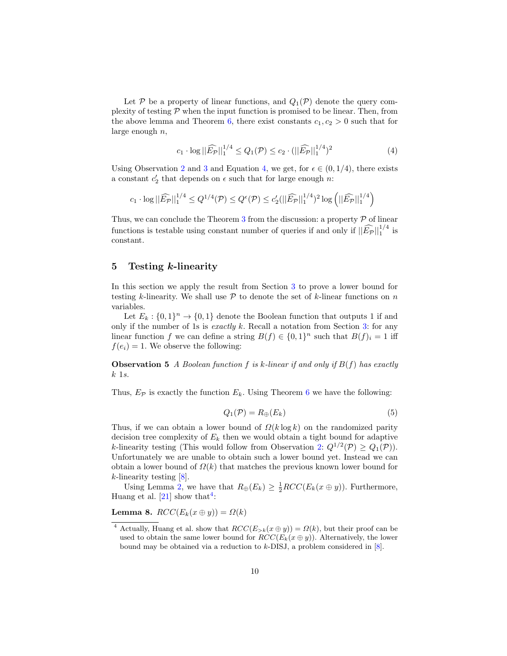Let P be a property of linear functions, and  $Q_1(\mathcal{P})$  denote the query complexity of testing  $P$  when the input function is promised to be linear. Then, from the above lemma and Theorem [6,](#page-6-2) there exist constants  $c_1, c_2 > 0$  such that for large enough  $n$ ,

<span id="page-9-0"></span>
$$
c_1 \cdot \log ||\widehat{E_{\mathcal{P}}}||_1^{1/4} \le Q_1(\mathcal{P}) \le c_2 \cdot (||\widehat{E_{\mathcal{P}}}||_1^{1/4})^2
$$
 (4)

Using Observation [2](#page-4-1) and [3](#page-4-2) and Equation [4,](#page-9-0) we get, for  $\epsilon \in (0, 1/4)$ , there exists a constant  $c_2'$  that depends on  $\epsilon$  such that for large enough  $n$ :

$$
c_1 \cdot \log ||\widehat{E_{\mathcal{P}}}||_1^{1/4} \leq Q^{1/4}(\mathcal{P}) \leq Q^{\epsilon}(\mathcal{P}) \leq c_2'||\widehat{E_{\mathcal{P}}}||_1^{1/4})^2 \log (||\widehat{E_{\mathcal{P}}}||_1^{1/4})
$$

Thus, we can conclude the Theorem [3](#page-2-2) from the discussion: a property  $P$  of linear functions is testable using constant number of queries if and only if  $\|\widehat{E_{\mathcal{P}}}\|_1^{1/4}$  is constant.

#### 5 Testing k-linearity

In this section we apply the result from Section [3](#page-5-0) to prove a lower bound for testing k-linearity. We shall use  $P$  to denote the set of k-linear functions on n variables.

Let  $E_k: \{0,1\}^n \to \{0,1\}$  denote the Boolean function that outputs 1 if and only if the number of 1s is *exactly k*. Recall a notation from Section [3:](#page-5-0) for any linear function f we can define a string  $B(f) \in \{0,1\}^n$  such that  $B(f)_i = 1$  iff  $f(e_i) = 1$ . We observe the following:

**Observation 5** A Boolean function f is k-linear if and only if  $B(f)$  has exactly  $k$  1s.

Thus,  $E_{\mathcal{P}}$  is exactly the function  $E_k$ . Using Theorem [6](#page-6-2) we have the following:

<span id="page-9-3"></span><span id="page-9-2"></span>
$$
Q_1(\mathcal{P}) = R_{\oplus}(E_k) \tag{5}
$$

Thus, if we can obtain a lower bound of  $\Omega(k \log k)$  on the randomized parity decision tree complexity of  $E_k$  then we would obtain a tight bound for adaptive k-linearity testing (This would follow from Observation [2:](#page-4-1)  $Q^{1/2}(\mathcal{P}) \geq Q_1(\mathcal{P})$ ). Unfortunately we are unable to obtain such a lower bound yet. Instead we can obtain a lower bound of  $\Omega(k)$  that matches the previous known lower bound for  $k$ -linearity testing  $[8]$ .

Using Lemma [2,](#page-5-2) we have that  $R_{\oplus}(E_k) \geq \frac{1}{2} RCC(E_k(x \oplus y))$ . Furthermore, Huang et al.  $[21]$  show that<sup>[4](#page-9-1)</sup>:

Lemma 8.  $RCC(E_k(x \oplus y)) = \Omega(k)$ 

<span id="page-9-1"></span><sup>&</sup>lt;sup>4</sup> Actually, Huang et al. show that  $RCC(E_{>k}(x \oplus y)) = \Omega(k)$ , but their proof can be used to obtain the same lower bound for  $RCC(E_k(x \oplus y))$ . Alternatively, the lower bound may be obtained via a reduction to  $k$ -DISJ, a problem considered in  $[8]$ .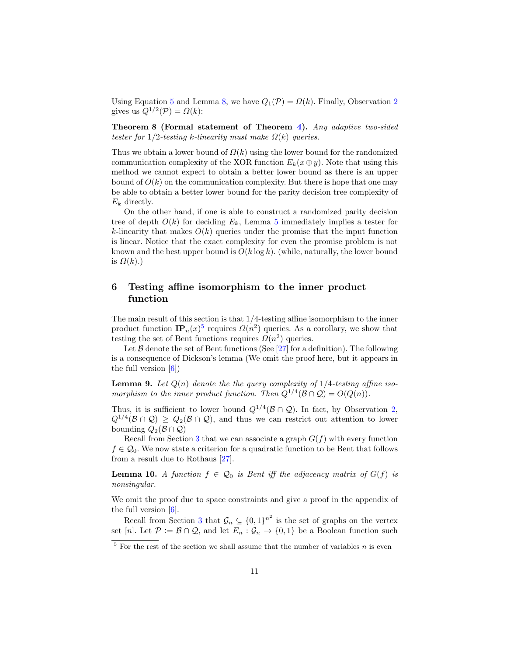Using Equation [5](#page-9-2) and Lemma [8,](#page-9-3) we have  $Q_1(\mathcal{P}) = \Omega(k)$ . Finally, Observation [2](#page-4-1) gives us  $Q^{1/2}(\mathcal{P}) = \Omega(k)$ :

Theorem 8 (Formal statement of Theorem [4\)](#page-3-0). Any adaptive two-sided tester for 1/2-testing k-linearity must make  $\Omega(k)$  queries.

Thus we obtain a lower bound of  $\Omega(k)$  using the lower bound for the randomized communication complexity of the XOR function  $E_k(x \oplus y)$ . Note that using this method we cannot expect to obtain a better lower bound as there is an upper bound of  $O(k)$  on the communication complexity. But there is hope that one may be able to obtain a better lower bound for the parity decision tree complexity of  $E_k$  directly.

On the other hand, if one is able to construct a randomized parity decision tree of depth  $O(k)$  for deciding  $E_k$ , Lemma [5](#page-9-2) immediately implies a tester for k-linearity that makes  $O(k)$  queries under the promise that the input function is linear. Notice that the exact complexity for even the promise problem is not known and the best upper bound is  $O(k \log k)$ . (while, naturally, the lower bound is  $\Omega(k)$ .)

# 6 Testing affine isomorphism to the inner product function

The main result of this section is that 1/4-testing affine isomorphism to the inner product function  $\mathbf{IP}_n(x)^5$  $\mathbf{IP}_n(x)^5$  requires  $\Omega(n^2)$  queries. As a corollary, we show that testing the set of Bent functions requires  $\Omega(n^2)$  queries.

Let  $\beta$  denote the set of Bent functions (See [\[27\]](#page-13-20) for a definition). The following is a consequence of Dickson's lemma (We omit the proof here, but it appears in the full version  $[6]$ 

**Lemma 9.** Let  $Q(n)$  denote the the query complexity of  $1/4$ -testing affine isomorphism to the inner product function. Then  $Q^{1/4}(\mathcal{B} \cap \mathcal{Q}) = O(Q(n)).$ 

Thus, it is sufficient to lower bound  $Q^{1/4}(\mathcal{B} \cap \mathcal{Q})$ . In fact, by Observation [2,](#page-4-1)  $Q^{1/4}(\mathcal{B}\cap\mathcal{Q})\geq Q_2(\mathcal{B}\cap\mathcal{Q})$ , and thus we can restrict out attention to lower bounding  $Q_2(\mathcal{B} \cap \mathcal{Q})$ 

<span id="page-10-1"></span>Recall from Section [3](#page-5-0) that we can associate a graph  $G(f)$  with every function  $f \in \mathcal{Q}_0$ . We now state a criterion for a quadratic function to be Bent that follows from a result due to Rothaus [\[27\]](#page-13-20).

**Lemma 10.** A function  $f \in \mathcal{Q}_0$  is Bent iff the adjacency matrix of  $G(f)$  is nonsingular.

We omit the proof due to space constraints and give a proof in the appendix of the full version  $[6]$ .

Recall from Section [3](#page-5-0) that  $\mathcal{G}_n \subseteq \{0,1\}^{n^2}$  is the set of graphs on the vertex set [n]. Let  $P := \mathcal{B} \cap \mathcal{Q}$ , and let  $E_n : \mathcal{G}_n \to \{0,1\}$  be a Boolean function such

<span id="page-10-0"></span> $5$  For the rest of the section we shall assume that the number of variables n is even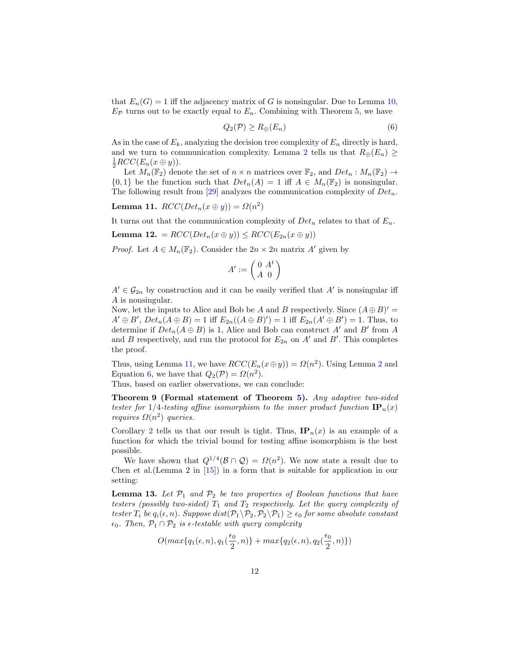that  $E_n(G) = 1$  iff the adjacency matrix of G is nonsingular. Due to Lemma [10,](#page-10-1)  $E_{\mathcal{P}}$  turns out to be exactly equal to  $E_n$ . Combining with Theorem [5,](#page-6-3) we have

<span id="page-11-1"></span>
$$
Q_2(\mathcal{P}) \ge R_{\oplus}(E_n) \tag{6}
$$

As in the case of  $E_k$ , analyzing the decision tree complexity of  $E_n$  directly is hard, and we turn to communication complexity. Lemma [2](#page-5-2) tells us that  $R_{\oplus}(E_n) \geq$  $\frac{1}{2}RCC(E_n(x\oplus y)).$ 

Let  $M_n(\mathbb{F}_2)$  denote the set of  $n \times n$  matrices over  $\mathbb{F}_2$ , and  $Det_n : M_n(\mathbb{F}_2) \to$  $\{0,1\}$  be the function such that  $Det_n(A) = 1$  iff  $A \in M_n(\mathbb{F}_2)$  is nonsingular. The following result from [\[29\]](#page-13-21) analyzes the communication complexity of  $Det_n$ .

<span id="page-11-0"></span>Lemma 11.  $RCC(Det_n(x \oplus y)) = \Omega(n^2)$ 

It turns out that the communication complexity of  $Det_n$  relates to that of  $E_n$ .

Lemma 12. =  $RCC(Det_n(x \oplus y)) \leq RCC(E_{2n}(x \oplus y))$ 

*Proof.* Let  $A \in M_n(\mathbb{F}_2)$ . Consider the  $2n \times 2n$  matrix A' given by

$$
A':=\left(\begin{smallmatrix} 0&A^t\\ A&0\end{smallmatrix}\right)
$$

 $A' \in \mathcal{G}_{2n}$  by construction and it can be easily verified that A' is nonsingular iff A is nonsingular.

Now, let the inputs to Alice and Bob be A and B respectively. Since  $(A \oplus B)' =$  $A' \oplus B'$ ,  $Det_n(A \oplus B) = 1$  iff  $E_{2n}((A \oplus B)') = 1$  iff  $E_{2n}(A' \oplus B') = 1$ . Thus, to determine if  $Det_n(A \oplus B)$  is 1, Alice and Bob can construct A' and B' from A and B respectively, and run the protocol for  $E_{2n}$  on  $A'$  and  $B'$ . This completes the proof.

Thus, using Lemma [11,](#page-11-0) we have  $RCC(E_n(x \oplus y)) = \Omega(n^2)$  $RCC(E_n(x \oplus y)) = \Omega(n^2)$  $RCC(E_n(x \oplus y)) = \Omega(n^2)$ . Using Lemma 2 and Equation [6,](#page-11-1) we have that  $Q_2(\mathcal{P}) = \Omega(n^2)$ .

Thus, based on earlier observations, we can conclude:

Theorem 9 (Formal statement of Theorem [5\)](#page-3-1). Any adaptive two-sided tester for 1/4-testing affine isomorphism to the inner product function  $\mathbf{IP}_n(x)$ *requires*  $\Omega(n^2)$  *queries.* 

Corollary [2](#page-4-3) tells us that our result is tight. Thus,  $IP_n(x)$  is an example of a function for which the trivial bound for testing affine isomorphism is the best possible.

<span id="page-11-2"></span>We have shown that  $Q^{1/4}(\mathcal{B} \cap \mathcal{Q}) = \Omega(n^2)$ . We now state a result due to Chen et al.(Lemma 2 in [\[15\]](#page-13-16)) in a form that is suitable for application in our setting:

**Lemma 13.** Let  $\mathcal{P}_1$  and  $\mathcal{P}_2$  be two properties of Boolean functions that have testers (possibly two-sided)  $T_1$  and  $T_2$  respectively. Let the query complexity of tester  $T_i$  be  $q_i(\epsilon, n)$ . Suppose  $dist(\mathcal{P}_1 \backslash \mathcal{P}_2, \mathcal{P}_2 \backslash \mathcal{P}_1) \geq \epsilon_0$  for some absolute constant  $\epsilon_0$ . Then,  $\mathcal{P}_1 \cap \mathcal{P}_2$  is  $\epsilon$ -testable with query complexity

$$
O(max\{q_1(\epsilon,n),q_1(\frac{\epsilon_0}{2},n)\}+max\{q_2(\epsilon,n),q_2(\frac{\epsilon_0}{2},n)\})
$$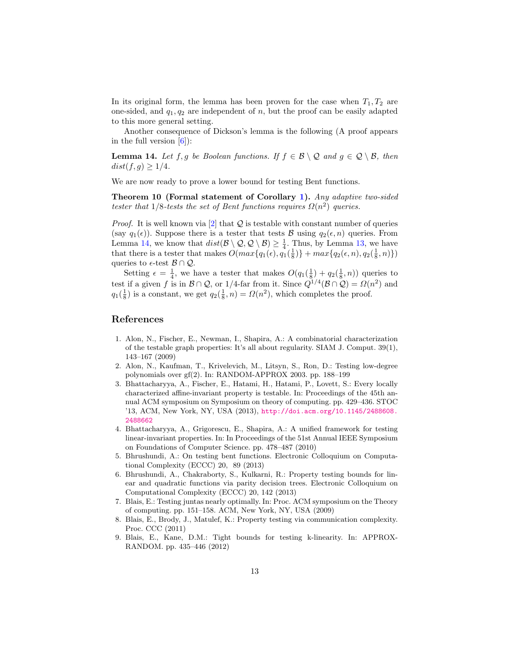In its original form, the lemma has been proven for the case when  $T_1, T_2$  are one-sided, and  $q_1, q_2$  are independent of n, but the proof can be easily adapted to this more general setting.

<span id="page-12-9"></span>Another consequence of Dickson's lemma is the following (A proof appears in the full version  $[6]$ :

**Lemma 14.** Let f, g be Boolean functions. If  $f \in \mathcal{B} \setminus \mathcal{Q}$  and  $g \in \mathcal{Q} \setminus \mathcal{B}$ , then  $dist(f, g) \geq 1/4.$ 

We are now ready to prove a lower bound for testing Bent functions.

Theorem 10 (Formal statement of Corollary [1\)](#page-3-2). Any adaptive two-sided tester that  $1/8$ -tests the set of Bent functions requires  $\Omega(n^2)$  queries.

*Proof.* It is well known via  $[2]$  that  $Q$  is testable with constant number of queries (say  $q_1(\epsilon)$ ). Suppose there is a tester that tests B using  $q_2(\epsilon, n)$  queries. From Lemma [14,](#page-12-9) we know that  $dist(\mathcal{B} \setminus \mathcal{Q}, \mathcal{Q} \setminus \mathcal{B}) \geq \frac{1}{4}$ . Thus, by Lemma [13,](#page-11-2) we have that there is a tester that makes  $O(max\{q_1(\epsilon), q_1(\frac{1}{8})\} + max\{q_2(\epsilon, n), q_2(\frac{1}{8}, n)\})$ queries to  $\epsilon$ -test  $\mathcal{B} \cap \mathcal{Q}$ .

Setting  $\epsilon = \frac{1}{4}$ , we have a tester that makes  $O(q_1(\frac{1}{8}) + q_2(\frac{1}{8}, n))$  queries to test if a given f is in  $\mathcal{B} \cap \mathcal{Q}$ , or 1/4-far from it. Since  $Q^{1/4}(\mathcal{B} \cap \mathcal{Q}) = \Omega(n^2)$  and  $q_1(\frac{1}{8})$  is a constant, we get  $q_2(\frac{1}{8}, n) = \Omega(n^2)$ , which completes the proof.

# References

- <span id="page-12-2"></span>1. Alon, N., Fischer, E., Newman, I., Shapira, A.: A combinatorial characterization of the testable graph properties: It's all about regularity. SIAM J. Comput. 39(1), 143–167 (2009)
- <span id="page-12-8"></span>2. Alon, N., Kaufman, T., Krivelevich, M., Litsyn, S., Ron, D.: Testing low-degree polynomials over gf(2). In: RANDOM-APPROX 2003. pp. 188–199
- <span id="page-12-5"></span>3. Bhattacharyya, A., Fischer, E., Hatami, H., Hatami, P., Lovett, S.: Every locally characterized affine-invariant property is testable. In: Proceedings of the 45th annual ACM symposium on Symposium on theory of computing. pp. 429–436. STOC '13, ACM, New York, NY, USA (2013), [http://doi.acm.org/10.1145/2488608.](http://doi.acm.org/10.1145/2488608.2488662) [2488662](http://doi.acm.org/10.1145/2488608.2488662)
- <span id="page-12-4"></span>4. Bhattacharyya, A., Grigorescu, E., Shapira, A.: A unified framework for testing linear-invariant properties. In: In Proceedings of the 51st Annual IEEE Symposium on Foundations of Computer Science. pp. 478–487 (2010)
- <span id="page-12-6"></span>5. Bhrushundi, A.: On testing bent functions. Electronic Colloquium on Computational Complexity (ECCC) 20, 89 (2013)
- <span id="page-12-7"></span>6. Bhrushundi, A., Chakraborty, S., Kulkarni, R.: Property testing bounds for linear and quadratic functions via parity decision trees. Electronic Colloquium on Computational Complexity (ECCC) 20, 142 (2013)
- <span id="page-12-1"></span>7. Blais, E.: Testing juntas nearly optimally. In: Proc. ACM symposium on the Theory of computing. pp. 151–158. ACM, New York, NY, USA (2009)
- <span id="page-12-0"></span>8. Blais, E., Brody, J., Matulef, K.: Property testing via communication complexity. Proc. CCC (2011)
- <span id="page-12-3"></span>9. Blais, E., Kane, D.M.: Tight bounds for testing k-linearity. In: APPROX-RANDOM. pp. 435–446 (2012)